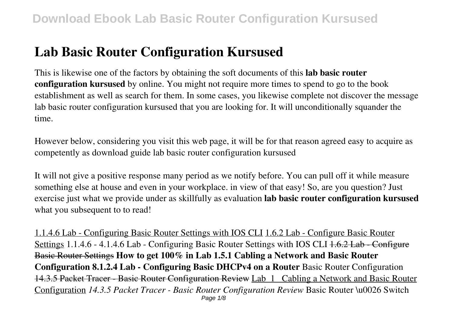# **Lab Basic Router Configuration Kursused**

This is likewise one of the factors by obtaining the soft documents of this **lab basic router configuration kursused** by online. You might not require more times to spend to go to the book establishment as well as search for them. In some cases, you likewise complete not discover the message lab basic router configuration kursused that you are looking for. It will unconditionally squander the time.

However below, considering you visit this web page, it will be for that reason agreed easy to acquire as competently as download guide lab basic router configuration kursused

It will not give a positive response many period as we notify before. You can pull off it while measure something else at house and even in your workplace. in view of that easy! So, are you question? Just exercise just what we provide under as skillfully as evaluation **lab basic router configuration kursused** what you subsequent to to read!

1.1.4.6 Lab - Configuring Basic Router Settings with IOS CLI 1.6.2 Lab - Configure Basic Router Settings 1.1.4.6 - 4.1.4.6 Lab - Configuring Basic Router Settings with IOS CLI 1.6.2 Lab - Configure Basic Router Settings **How to get 100% in Lab 1.5.1 Cabling a Network and Basic Router Configuration 8.1.2.4 Lab - Configuring Basic DHCPv4 on a Router** Basic Router Configuration 14.3.5 Packet Tracer - Basic Router Configuration Review Lab\_1\_ Cabling a Network and Basic Router Configuration *14.3.5 Packet Tracer - Basic Router Configuration Review* Basic Router \u0026 Switch Page 1/8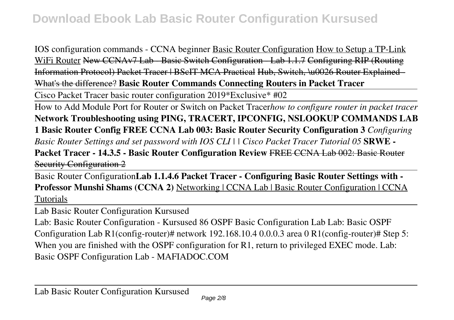IOS configuration commands - CCNA beginner Basic Router Configuration How to Setup a TP-Link WiFi Router New CCNAv7 Lab - Basic Switch Configuration - Lab 1.1.7 Configuring RIP (Routing Information Protocol) Packet Tracer | BScIT MCA Practical Hub, Switch, \u0026 Router Explained - What's the difference? **Basic Router Commands Connecting Routers in Packet Tracer**

Cisco Packet Tracer basic router configuration 2019\*Exclusive\* #02

How to Add Module Port for Router or Switch on Packet Tracer*how to configure router in packet tracer* **Network Troubleshooting using PING, TRACERT, IPCONFIG, NSLOOKUP COMMANDS LAB 1 Basic Router Config FREE CCNA Lab 003: Basic Router Security Configuration 3** *Configuring Basic Router Settings and set password with IOS CLI | | Cisco Packet Tracer Tutorial 05* **SRWE - Packet Tracer - 14.3.5 - Basic Router Configuration Review** FREE CCNA Lab 002: Basic Router Security Configuration 2

Basic Router Configuration**Lab 1.1.4.6 Packet Tracer - Configuring Basic Router Settings with - Professor Munshi Shams (CCNA 2)** Networking | CCNA Lab | Basic Router Configuration | CCNA Tutorials

Lab Basic Router Configuration Kursused

Lab: Basic Router Configuration - Kursused 86 OSPF Basic Configuration Lab Lab: Basic OSPF Configuration Lab R1(config-router)# network 192.168.10.4 0.0.0.3 area 0 R1(config-router)# Step 5: When you are finished with the OSPF configuration for R1, return to privileged EXEC mode. Lab: Basic OSPF Configuration Lab - MAFIADOC.COM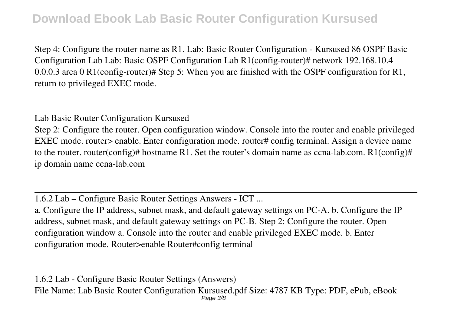## **Download Ebook Lab Basic Router Configuration Kursused**

Step 4: Configure the router name as R1. Lab: Basic Router Configuration - Kursused 86 OSPF Basic Configuration Lab Lab: Basic OSPF Configuration Lab R1(config-router)# network 192.168.10.4 0.0.0.3 area 0 R1(config-router)# Step 5: When you are finished with the OSPF configuration for R1, return to privileged EXEC mode.

Lab Basic Router Configuration Kursused Step 2: Configure the router. Open configuration window. Console into the router and enable privileged EXEC mode. router> enable. Enter configuration mode. router# config terminal. Assign a device name to the router. router(config)# hostname R1. Set the router's domain name as ccna-lab.com. R1(config)# ip domain name ccna-lab.com

1.6.2 Lab – Configure Basic Router Settings Answers - ICT ...

a. Configure the IP address, subnet mask, and default gateway settings on PC-A. b. Configure the IP address, subnet mask, and default gateway settings on PC-B. Step 2: Configure the router. Open configuration window a. Console into the router and enable privileged EXEC mode. b. Enter configuration mode. Router>enable Router#config terminal

1.6.2 Lab - Configure Basic Router Settings (Answers) File Name: Lab Basic Router Configuration Kursused.pdf Size: 4787 KB Type: PDF, ePub, eBook Page 3/8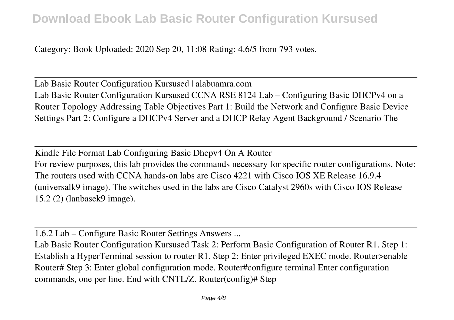Category: Book Uploaded: 2020 Sep 20, 11:08 Rating: 4.6/5 from 793 votes.

Lab Basic Router Configuration Kursused | alabuamra.com Lab Basic Router Configuration Kursused CCNA RSE 8124 Lab – Configuring Basic DHCPv4 on a Router Topology Addressing Table Objectives Part 1: Build the Network and Configure Basic Device Settings Part 2: Configure a DHCPv4 Server and a DHCP Relay Agent Background / Scenario The

Kindle File Format Lab Configuring Basic Dhcpv4 On A Router For review purposes, this lab provides the commands necessary for specific router configurations. Note: The routers used with CCNA hands-on labs are Cisco 4221 with Cisco IOS XE Release 16.9.4 (universalk9 image). The switches used in the labs are Cisco Catalyst 2960s with Cisco IOS Release 15.2 (2) (lanbasek9 image).

1.6.2 Lab – Configure Basic Router Settings Answers ...

Lab Basic Router Configuration Kursused Task 2: Perform Basic Configuration of Router R1. Step 1: Establish a HyperTerminal session to router R1. Step 2: Enter privileged EXEC mode. Router>enable Router# Step 3: Enter global configuration mode. Router#configure terminal Enter configuration commands, one per line. End with CNTL/Z. Router(config)# Step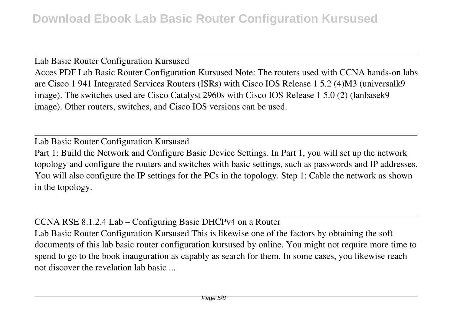Lab Basic Router Configuration Kursused Acces PDF Lab Basic Router Configuration Kursused Note: The routers used with CCNA hands-on labs are Cisco 1 941 Integrated Services Routers (ISRs) with Cisco IOS Release 1 5.2 (4)M3 (universalk9 image). The switches used are Cisco Catalyst 2960s with Cisco IOS Release 1 5.0 (2) (lanbasek9 image). Other routers, switches, and Cisco IOS versions can be used.

Lab Basic Router Configuration Kursused Part 1: Build the Network and Configure Basic Device Settings. In Part 1, you will set up the network topology and configure the routers and switches with basic settings, such as passwords and IP addresses. You will also configure the IP settings for the PCs in the topology. Step 1: Cable the network as shown in the topology.

CCNA RSE 8.1.2.4 Lab – Configuring Basic DHCPv4 on a Router

Lab Basic Router Configuration Kursused This is likewise one of the factors by obtaining the soft documents of this lab basic router configuration kursused by online. You might not require more time to spend to go to the book inauguration as capably as search for them. In some cases, you likewise reach not discover the revelation lab basic ...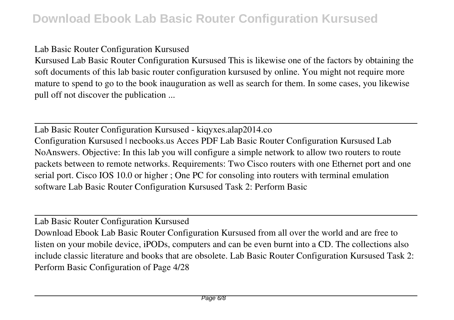### Lab Basic Router Configuration Kursused

Kursused Lab Basic Router Configuration Kursused This is likewise one of the factors by obtaining the soft documents of this lab basic router configuration kursused by online. You might not require more mature to spend to go to the book inauguration as well as search for them. In some cases, you likewise pull off not discover the publication ...

Lab Basic Router Configuration Kursused - kiqyxes.alap2014.co Configuration Kursused | necbooks.us Acces PDF Lab Basic Router Configuration Kursused Lab NoAnswers. Objective: In this lab you will configure a simple network to allow two routers to route packets between to remote networks. Requirements: Two Cisco routers with one Ethernet port and one serial port. Cisco IOS 10.0 or higher ; One PC for consoling into routers with terminal emulation software Lab Basic Router Configuration Kursused Task 2: Perform Basic

Lab Basic Router Configuration Kursused

Download Ebook Lab Basic Router Configuration Kursused from all over the world and are free to listen on your mobile device, iPODs, computers and can be even burnt into a CD. The collections also include classic literature and books that are obsolete. Lab Basic Router Configuration Kursused Task 2: Perform Basic Configuration of Page 4/28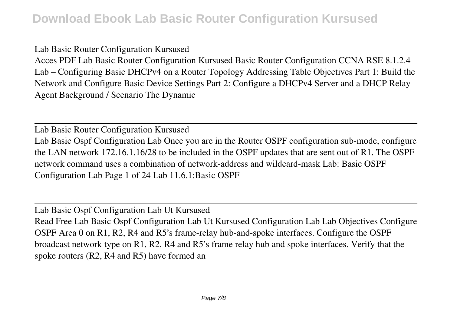#### Lab Basic Router Configuration Kursused

Acces PDF Lab Basic Router Configuration Kursused Basic Router Configuration CCNA RSE 8.1.2.4 Lab – Configuring Basic DHCPv4 on a Router Topology Addressing Table Objectives Part 1: Build the Network and Configure Basic Device Settings Part 2: Configure a DHCPv4 Server and a DHCP Relay Agent Background / Scenario The Dynamic

Lab Basic Router Configuration Kursused Lab Basic Ospf Configuration Lab Once you are in the Router OSPF configuration sub-mode, configure the LAN network 172.16.1.16/28 to be included in the OSPF updates that are sent out of R1. The OSPF network command uses a combination of network-address and wildcard-mask Lab: Basic OSPF Configuration Lab Page 1 of 24 Lab 11.6.1:Basic OSPF

Lab Basic Ospf Configuration Lab Ut Kursused Read Free Lab Basic Ospf Configuration Lab Ut Kursused Configuration Lab Lab Objectives Configure OSPF Area 0 on R1, R2, R4 and R5's frame-relay hub-and-spoke interfaces. Configure the OSPF broadcast network type on R1, R2, R4 and R5's frame relay hub and spoke interfaces. Verify that the spoke routers (R2, R4 and R5) have formed an